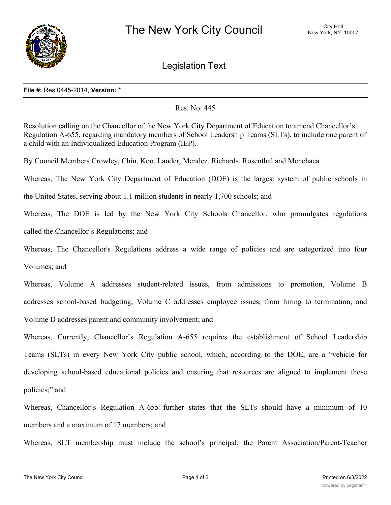

Legislation Text

## **File #:** Res 0445-2014, **Version:** \*

Res. No. 445

Resolution calling on the Chancellor of the New York City Department of Education to amend Chancellor's Regulation A-655, regarding mandatory members of School Leadership Teams (SLTs), to include one parent of a child with an Individualized Education Program (IEP).

By Council Members Crowley, Chin, Koo, Lander, Mendez, Richards, Rosenthal and Menchaca

Whereas, The New York City Department of Education (DOE) is the largest system of public schools in

the United States, serving about 1.1 million students in nearly 1,700 schools; and

Whereas, The DOE is led by the New York City Schools Chancellor, who promulgates regulations called the Chancellor's Regulations; and

Whereas, The Chancellor's Regulations address a wide range of policies and are categorized into four Volumes; and

Whereas, Volume A addresses student-related issues, from admissions to promotion, Volume B addresses school-based budgeting, Volume C addresses employee issues, from hiring to termination, and Volume D addresses parent and community involvement; and

Whereas, Currently, Chancellor's Regulation A-655 requires the establishment of School Leadership Teams (SLTs) in every New York City public school, which, according to the DOE, are a "vehicle for developing school-based educational policies and ensuring that resources are aligned to implement those policies;" and

Whereas, Chancellor's Regulation A-655 further states that the SLTs should have a minimum of 10 members and a maximum of 17 members; and

Whereas, SLT membership must include the school's principal, the Parent Association/Parent-Teacher